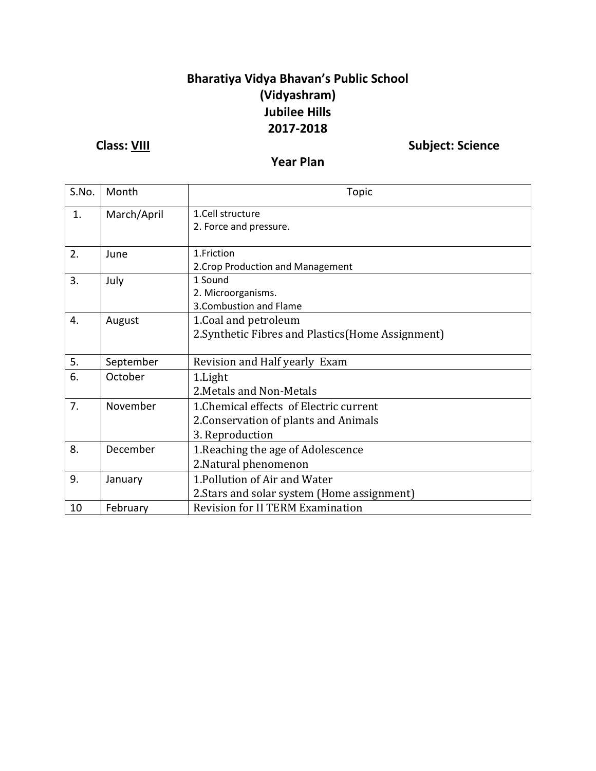### **Bharatiya Vidya Bhavan's Public School (Vidyashram) Jubilee Hills 2017-2018**

**Class:** <u>VIII</u> Subject: Science

### **Year Plan**

| S.No.             | Month     | <b>Topic</b>                                       |  |
|-------------------|-----------|----------------------------------------------------|--|
| 1.<br>March/April |           | 1.Cell structure                                   |  |
|                   |           | 2. Force and pressure.                             |  |
| 2.<br>June        |           | 1.Friction                                         |  |
|                   |           | 2. Crop Production and Management                  |  |
| 3.                | July      | 1 Sound                                            |  |
|                   |           | 2. Microorganisms.                                 |  |
|                   |           | 3. Combustion and Flame                            |  |
| 4.                | August    | 1. Coal and petroleum                              |  |
|                   |           | 2. Synthetic Fibres and Plastics (Home Assignment) |  |
|                   |           |                                                    |  |
| 5.                | September | Revision and Half yearly Exam                      |  |
| 6.                | October   | 1. Light                                           |  |
|                   |           | 2. Metals and Non-Metals                           |  |
| 7.                | November  | 1. Chemical effects of Electric current            |  |
|                   |           | 2. Conservation of plants and Animals              |  |
|                   |           | 3. Reproduction                                    |  |
| 8.                | December  | 1. Reaching the age of Adolescence                 |  |
|                   |           | 2. Natural phenomenon                              |  |
| 9.                | January   | 1. Pollution of Air and Water                      |  |
|                   |           | 2. Stars and solar system (Home assignment)        |  |
| 10                | February  | <b>Revision for II TERM Examination</b>            |  |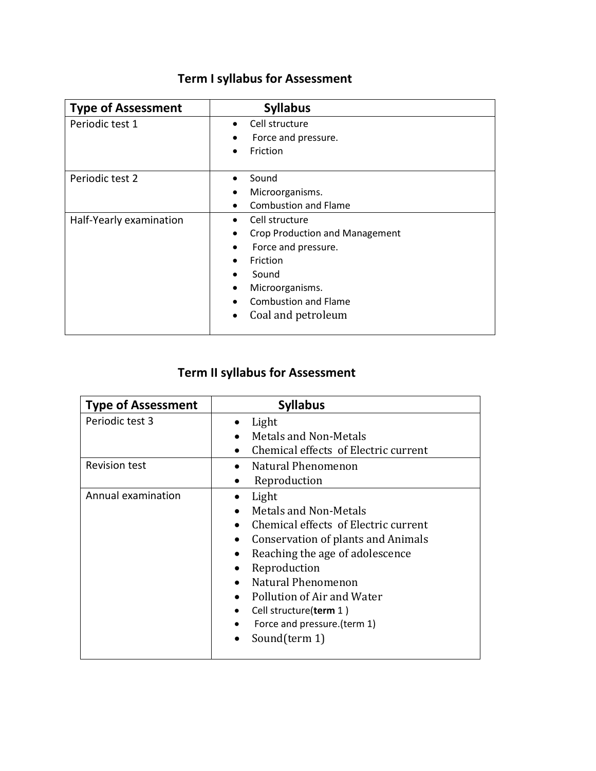# **Term I syllabus for Assessment**

| <b>Type of Assessment</b> | <b>Syllabus</b>                       |
|---------------------------|---------------------------------------|
| Periodic test 1           | Cell structure<br>$\bullet$           |
|                           | Force and pressure.                   |
|                           | Friction                              |
| Periodic test 2           | Sound                                 |
|                           | Microorganisms.                       |
|                           | <b>Combustion and Flame</b>           |
| Half-Yearly examination   | Cell structure                        |
|                           | <b>Crop Production and Management</b> |
|                           | Force and pressure.                   |
|                           | Friction                              |
|                           | Sound                                 |
|                           | Microorganisms.                       |
|                           | <b>Combustion and Flame</b>           |
|                           | Coal and petroleum                    |

## **Term II syllabus for Assessment**

| <b>Type of Assessment</b> | <b>Syllabus</b>                                                                                                                                                                                                                                                                                                                                                                    |
|---------------------------|------------------------------------------------------------------------------------------------------------------------------------------------------------------------------------------------------------------------------------------------------------------------------------------------------------------------------------------------------------------------------------|
| Periodic test 3           | Light<br>Metals and Non-Metals<br>Chemical effects of Electric current                                                                                                                                                                                                                                                                                                             |
| <b>Revision test</b>      | Natural Phenomenon<br>$\bullet$<br>Reproduction<br>$\bullet$                                                                                                                                                                                                                                                                                                                       |
| Annual examination        | Light<br><b>Metals and Non-Metals</b><br>Chemical effects of Electric current<br>$\bullet$<br>Conservation of plants and Animals<br>$\bullet$<br>Reaching the age of adolescence<br>Reproduction<br>Natural Phenomenon<br>$\bullet$<br>Pollution of Air and Water<br>$\bullet$<br>Cell structure(term 1)<br>$\bullet$<br>Force and pressure.(term 1)<br>$\bullet$<br>Sound(term 1) |